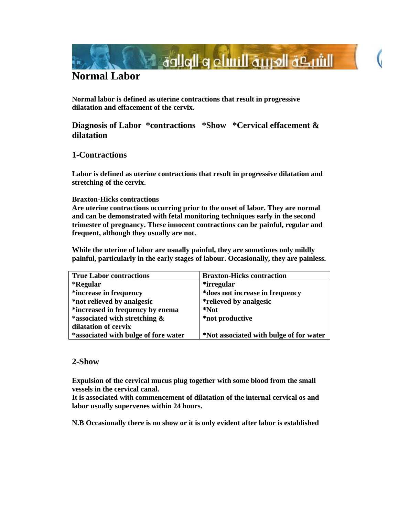

# **Normal Labor**

**Normal labor is defined as uterine contractions that result in progressive dilatation and effacement of the cervix.** 

## **Diagnosis of Labor \*contractions \*Show \*Cervical effacement & dilatation**

### **1-Contractions**

**Labor is defined as uterine contractions that result in progressive dilatation and stretching of the cervix.** 

### **Braxton-Hicks contractions**

**Are uterine contractions occurring prior to the onset of labor. They are normal and can be demonstrated with fetal monitoring techniques early in the second trimester of pregnancy. These innocent contractions can be painful, regular and frequent, although they usually are not.** 

**While the uterine of labor are usually painful, they are sometimes only mildly painful, particularly in the early stages of labour. Occasionally, they are painless.** 

| <b>True Labor contractions</b>       | <b>Braxton-Hicks contraction</b>        |
|--------------------------------------|-----------------------------------------|
| *Regular                             | *irregular                              |
| *increase in frequency               | *does not increase in frequency         |
| *not relieved by analgesic           | <i>*relieved by analgesic</i>           |
| *increased in frequency by enema     | *Not                                    |
| *associated with stretching $\&$     | *not productive                         |
| dilatation of cervix                 |                                         |
| *associated with bulge of fore water | *Not associated with bulge of for water |

### **2-Show**

**Expulsion of the cervical mucus plug together with some blood from the small vessels in the cervical canal.** 

**It is associated with commencement of dilatation of the internal cervical os and labor usually supervenes within 24 hours.** 

**N.B Occasionally there is no show or it is only evident after labor is established**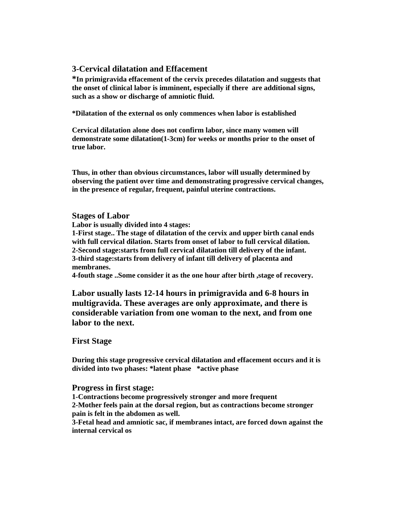### **3-Cervical dilatation and Effacement**

**\*In primigravida effacement of the cervix precedes dilatation and suggests that the onset of clinical labor is imminent, especially if there are additional signs, such as a show or discharge of amniotic fluid.** 

**\*Dilatation of the external os only commences when labor is established** 

**Cervical dilatation alone does not confirm labor, since many women will demonstrate some dilatation(1-3cm) for weeks or months prior to the onset of true labor.** 

**Thus, in other than obvious circumstances, labor will usually determined by observing the patient over time and demonstrating progressive cervical changes, in the presence of regular, frequent, painful uterine contractions.** 

### **Stages of Labor**

**Labor is usually divided into 4 stages:** 

**1-First stage.. The stage of dilatation of the cervix and upper birth canal ends with full cervical dilation. Starts from onset of labor to full cervical dilation. 2-Second stage:starts from full cervical dilatation till delivery of the infant. 3-third stage:starts from delivery of infant till delivery of placenta and membranes.** 

**4-fouth stage ..Some consider it as the one hour after birth ,stage of recovery.** 

**Labor usually lasts 12-14 hours in primigravida and 6-8 hours in multigravida. These averages are only approximate, and there is considerable variation from one woman to the next, and from one labor to the next.** 

### **First Stage**

**During this stage progressive cervical dilatation and effacement occurs and it is divided into two phases: \*latent phase \*active phase** 

### **Progress in first stage:**

**1-Contractions become progressively stronger and more frequent 2-Mother feels pain at the dorsal region, but as contractions become stronger pain is felt in the abdomen as well.** 

**3-Fetal head and amniotic sac, if membranes intact, are forced down against the internal cervical os**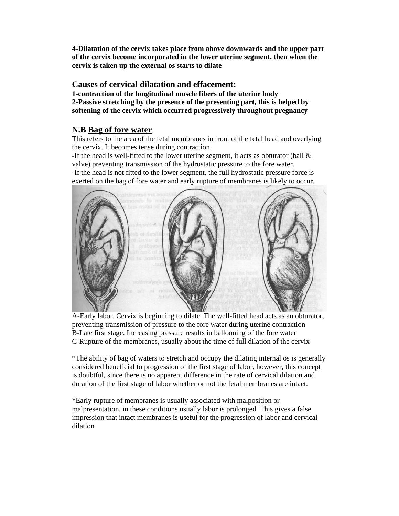**4-Dilatation of the cervix takes place from above downwards and the upper part of the cervix become incorporated in the lower uterine segment, then when the cervix is taken up the external os starts to dilate** 

### **Causes of cervical dilatation and effacement:**

**1-contraction of the longitudinal muscle fibers of the uterine body 2-Passive stretching by the presence of the presenting part, this is helped by softening of the cervix which occurred progressively throughout pregnancy** 

### **N.B Bag of fore water**

This refers to the area of the fetal membranes in front of the fetal head and overlying the cervix. It becomes tense during contraction.

-If the head is well-fitted to the lower uterine segment, it acts as obturator (ball & valve) preventing transmission of the hydrostatic pressure to the fore water.

-If the head is not fitted to the lower segment, the full hydrostatic pressure force is exerted on the bag of fore water and early rupture of membranes is likely to occur.



A-Early labor. Cervix is beginning to dilate. The well-fitted head acts as an obturator, preventing transmission of pressure to the fore water during uterine contraction B-Late first stage. Increasing pressure results in ballooning of the fore water C-Rupture of the membranes, usually about the time of full dilation of the cervix

\*The ability of bag of waters to stretch and occupy the dilating internal os is generally considered beneficial to progression of the first stage of labor, however, this concept is doubtful, since there is no apparent difference in the rate of cervical dilation and duration of the first stage of labor whether or not the fetal membranes are intact.

\*Early rupture of membranes is usually associated with malposition or malpresentation, in these conditions usually labor is prolonged. This gives a false impression that intact membranes is useful for the progression of labor and cervical dilation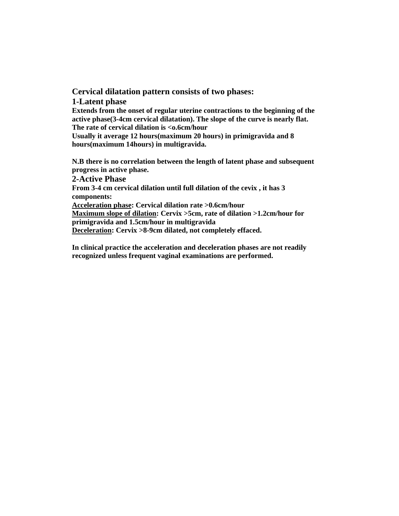**Cervical dilatation pattern consists of two phases: 1-Latent phase Extends from the onset of regular uterine contractions to the beginning of the active phase(3-4cm cervical dilatation). The slope of the curve is nearly flat. The rate of cervical dilation is <o.6cm/hour Usually it average 12 hours(maximum 20 hours) in primigravida and 8 hours(maximum 14hours) in multigravida.** 

**N.B there is no correlation between the length of latent phase and subsequent progress in active phase. 2-Active Phase From 3-4 cm cervical dilation until full dilation of the cevix , it has 3 components: Acceleration phase: Cervical dilation rate >0.6cm/hour Maximum slope of dilation: Cervix >5cm, rate of dilation >1.2cm/hour for primigravida and 1.5cm/hour in multigravida Deceleration: Cervix >8-9cm dilated, not completely effaced.** 

**In clinical practice the acceleration and deceleration phases are not readily recognized unless frequent vaginal examinations are performed.**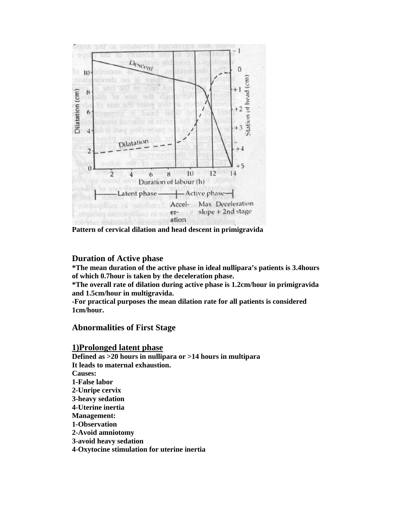

**Pattern of cervical dilation and head descent in primigravida** 

### **Duration of Active phase**

**\*The mean duration of the active phase in ideal nullipara's patients is 3.4hours of which 0.7hour is taken by the deceleration phase.** 

**\*The overall rate of dilation during active phase is 1.2cm/hour in primigravida and 1.5cm/hour in multigravida.** 

**-For practical purposes the mean dilation rate for all patients is considered 1cm/hour.** 

### **Abnormalities of First Stage**

#### **1)Prolonged latent phase**

**Defined as >20 hours in nullipara or >14 hours in multipara It leads to maternal exhaustion. Causes: 1-False labor 2-Unripe cervix 3-heavy sedation 4-Uterine inertia Management: 1-Observation 2-Avoid amniotomy 3-avoid heavy sedation 4-Oxytocine stimulation for uterine inertia**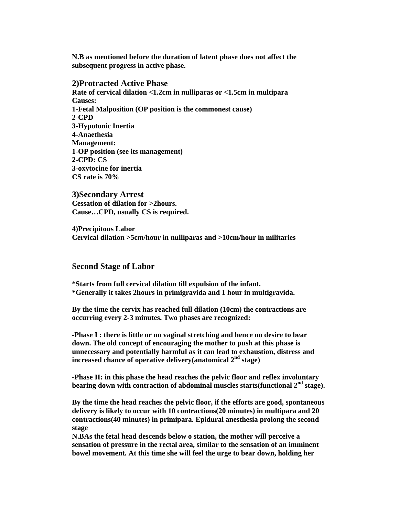**N.B as mentioned before the duration of latent phase does not affect the subsequent progress in active phase.** 

#### **2)Protracted Active Phase**

**Rate of cervical dilation <1.2cm in nulliparas or <1.5cm in multipara Causes: 1-Fetal Malposition (OP position is the commonest cause) 2-CPD 3-Hypotonic Inertia 4-Anaethesia Management: 1-OP position (see its management) 2-CPD: CS 3-oxytocine for inertia CS rate is 70%** 

**3)Secondary Arrest Cessation of dilation for >2hours. Cause…CPD, usually CS is required.** 

**4)Precipitous Labor Cervical dilation >5cm/hour in nulliparas and >10cm/hour in militaries** 

#### **Second Stage of Labor**

**\*Starts from full cervical dilation till expulsion of the infant. \*Generally it takes 2hours in primigravida and 1 hour in multigravida.** 

**By the time the cervix has reached full dilation (10cm) the contractions are occurring every 2-3 minutes. Two phases are recognized:** 

**-Phase I : there is little or no vaginal stretching and hence no desire to bear down. The old concept of encouraging the mother to push at this phase is unnecessary and potentially harmful as it can lead to exhaustion, distress and increased chance of operative delivery(anatomical 2nd stage)** 

**-Phase II: in this phase the head reaches the pelvic floor and reflex involuntary**  bearing down with contraction of abdominal muscles starts(functional 2<sup>nd</sup> stage).

**By the time the head reaches the pelvic floor, if the efforts are good, spontaneous delivery is likely to occur with 10 contractions(20 minutes) in multipara and 20 contractions(40 minutes) in primipara. Epidural anesthesia prolong the second stage** 

**N.BAs the fetal head descends below o station, the mother will perceive a sensation of pressure in the rectal area, similar to the sensation of an imminent bowel movement. At this time she will feel the urge to bear down, holding her**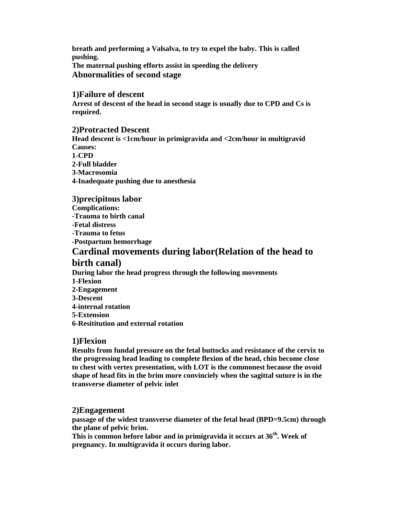**breath and performing a Valsalva, to try to expel the baby. This is called pushing. The maternal pushing efforts assist in speeding the delivery Abnormalities of second stage** 

#### **1)Failure of descent**

**Arrest of descent of the head in second stage is usually due to CPD and Cs is required.** 

### **2)Protracted Descent**

**Head descent is <1cm/hour in primigravida and <2cm/hour in multigravid Causes: 1-CPD 2-Full bladder 3-Macrosomia 4-Inadequate pushing due to anesthesia** 

### **3)precipitous labor Complications: -Trauma to birth canal -Fetal distress -Trauma to fetus -Postpartum hemorrhage Cardinal movements during labor(Relation of the head to**

### **birth canal)**

**During labor the head progress through the following movements 1-Flexion 2-Engagement 3-Descent 4-internal rotation 5-Extension 6-Resititution and external rotation** 

### **1)Flexion**

**Results from fundal pressure on the fetal buttocks and resistance of the cervix to the progressing head leading to complete flexion of the head, chin become close to chest with vertex presentation, with LOT is the commonest because the ovoid shape of head fits in the brim more convinciely when the sagittal suture is in the transverse diameter of pelvic inlet** 

### **2)Engagement**

**passage of the widest transverse diameter of the fetal head (BPD=9.5cm) through the plane of pelvic brim.** 

**This is common before labor and in primigravida it occurs at 36th. Week of pregnancy. In multigravida it occurs during labor.**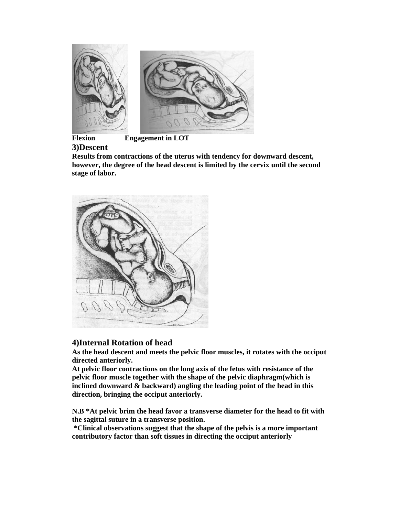

 **Flexion Engagement in LOT** 

**3)Descent**

**Results from contractions of the uterus with tendency for downward descent, however, the degree of the head descent is limited by the cervix until the second stage of labor.** 



## **4)Internal Rotation of head**

**As the head descent and meets the pelvic floor muscles, it rotates with the occiput directed anteriorly.** 

**At pelvic floor contractions on the long axis of the fetus with resistance of the pelvic floor muscle together with the shape of the pelvic diaphragm(which is inclined downward & backward) angling the leading point of the head in this direction, bringing the occiput anteriorly.** 

**N.B \*At pelvic brim the head favor a transverse diameter for the head to fit with the sagittal suture in a transverse position.** 

 **\*Clinical observations suggest that the shape of the pelvis is a more important contributory factor than soft tissues in directing the occiput anteriorly**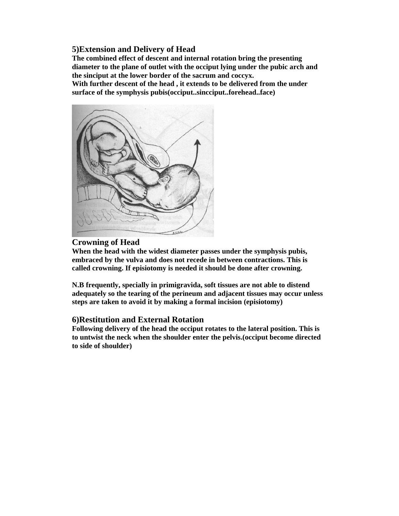### **5)Extension and Delivery of Head**

**The combined effect of descent and internal rotation bring the presenting diameter to the plane of outlet with the occiput lying under the pubic arch and the sinciput at the lower border of the sacrum and coccyx.** 

**With further descent of the head , it extends to be delivered from the under surface of the symphysis pubis(occiput..sincciput..forehead..face)** 



### **Crowning of Head**

**When the head with the widest diameter passes under the symphysis pubis, embraced by the vulva and does not recede in between contractions. This is called crowning. If episiotomy is needed it should be done after crowning.** 

**N.B frequently, specially in primigravida, soft tissues are not able to distend adequately so the tearing of the perineum and adjacent tissues may occur unless steps are taken to avoid it by making a formal incision (episiotomy)** 

### **6)Restitution and External Rotation**

**Following delivery of the head the occiput rotates to the lateral position. This is to untwist the neck when the shoulder enter the pelvis.(occiput become directed to side of shoulder)**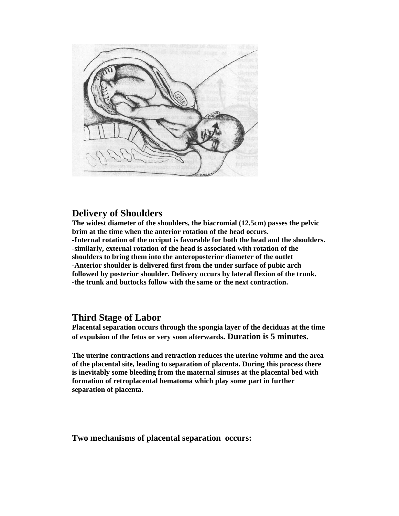

## **Delivery of Shoulders**

**The widest diameter of the shoulders, the biacromial (12.5cm) passes the pelvic brim at the time when the anterior rotation of the head occurs. -Internal rotation of the occiput is favorable for both the head and the shoulders. -similarly, external rotation of the head is associated with rotation of the shoulders to bring them into the anteroposterior diameter of the outlet -Anterior shoulder is delivered first from the under surface of pubic arch followed by posterior shoulder. Delivery occurs by lateral flexion of the trunk. -the trunk and buttocks follow with the same or the next contraction.** 

## **Third Stage of Labor**

**Placental separation occurs through the spongia layer of the deciduas at the time of expulsion of the fetus or very soon afterwards. Duration is 5 minutes.** 

**The uterine contractions and retraction reduces the uterine volume and the area of the placental site, leading to separation of placenta. During this process there is inevitably some bleeding from the maternal sinuses at the placental bed with formation of retroplacental hematoma which play some part in further separation of placenta.** 

**Two mechanisms of placental separation occurs:**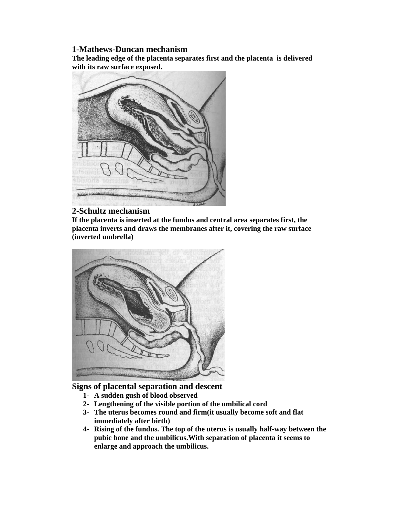### **1-Mathews-Duncan mechanism**

**The leading edge of the placenta separates first and the placenta is delivered with its raw surface exposed.** 



### **2-Schultz mechanism**

**If the placenta is inserted at the fundus and central area separates first, the placenta inverts and draws the membranes after it, covering the raw surface (inverted umbrella)** 



**Signs of placental separation and descent** 

- **1- A sudden gush of blood observed**
- **2- Lengthening of the visible portion of the umbilical cord**
- **3- The uterus becomes round and firm(it usually become soft and flat immediately after birth)**
- **4- Rising of the fundus. The top of the uterus is usually half-way between the pubic bone and the umbilicus.With separation of placenta it seems to enlarge and approach the umbilicus.**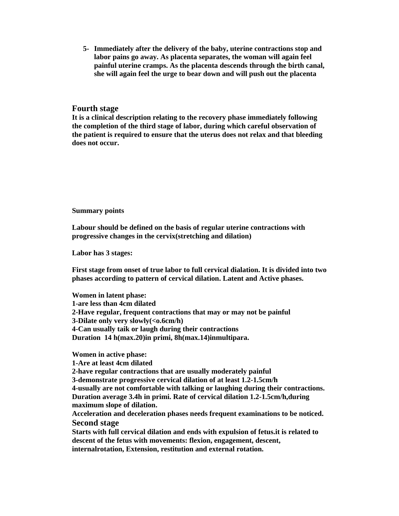**5- Immediately after the delivery of the baby, uterine contractions stop and labor pains go away. As placenta separates, the woman will again feel painful uterine cramps. As the placenta descends through the birth canal, she will again feel the urge to bear down and will push out the placenta** 

#### **Fourth stage**

**It is a clinical description relating to the recovery phase immediately following the completion of the third stage of labor, during which careful observation of the patient is required to ensure that the uterus does not relax and that bleeding does not occur.** 

#### **Summary points**

**Labour should be defined on the basis of regular uterine contractions with progressive changes in the cervix(stretching and dilation)** 

**Labor has 3 stages:** 

**First stage from onset of true labor to full cervical dialation. It is divided into two phases according to pattern of cervical dilation. Latent and Active phases.** 

**Women in latent phase: 1-are less than 4cm dilated 2-Have regular, frequent contractions that may or may not be painful 3-Dilate only very slowly(<0.6cm/h) 4-Can usually taik or laugh during their contractions Duration 14 h(max.20)in primi, 8h(max.14)inmultipara.** 

**Women in active phase:** 

**1-Are at least 4cm dilated** 

**2-have regular contractions that are usually moderately painful** 

**3-demonstrate progressive cervical dilation of at least 1.2-1.5cm/h 4-usually are not comfortable with talking or laughing during their contractions. Duration average 3.4h in primi. Rate of cervical dilation 1.2-1.5cm/h,during** 

**maximum slope of dilation.** 

**Acceleration and deceleration phases needs frequent examinations to be noticed. Second stage** 

**Starts with full cervical dilation and ends with expulsion of fetus.it is related to descent of the fetus with movements: flexion, engagement, descent, internalrotation, Extension, restitution and external rotation.**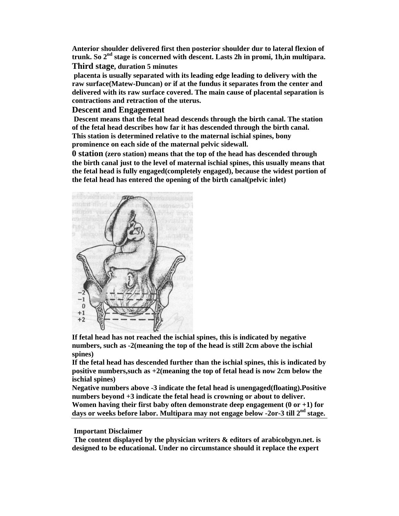**Anterior shoulder delivered first then posterior shoulder dur to lateral flexion of trunk. So 2nd stage is concerned with descent. Lasts 2h in promi, 1h,in multipara. Third stage, duration 5 minutes** 

 **placenta is usually separated with its leading edge leading to delivery with the raw surface(Matew-Duncan) or if at the fundus it separates from the center and delivered with its raw surface covered. The main cause of placental separation is contractions and retraction of the uterus.** 

### **Descent and Engagement**

 **Descent means that the fetal head descends through the birth canal. The station of the fetal head describes how far it has descended through the birth canal. This station is determined relative to the maternal ischial spines, bony prominence on each side of the maternal pelvic sidewall.** 

**0 station (zero station) means that the top of the head has descended through the birth canal just to the level of maternal ischial spines, this usually means that the fetal head is fully engaged(completely engaged), because the widest portion of the fetal head has entered the opening of the birth canal(pelvic inlet)** 



**If fetal head has not reached the ischial spines, this is indicated by negative numbers, such as -2(meaning the top of the head is still 2cm above the ischial spines)** 

**If the fetal head has descended further than the ischial spines, this is indicated by positive numbers,such as +2(meaning the top of fetal head is now 2cm below the ischial spines)** 

**Negative numbers above -3 indicate the fetal head is unengaged(floating).Positive numbers beyond +3 indicate the fetal head is crowning or about to deliver. Women having their first baby often demonstrate deep engagement (0 or +1) for days or weeks before labor. Multipara may not engage below -2or-3 till 2nd stage.** 

#### **Important Disclaimer**

 **The content displayed by the physician writers & editors of arabicobgyn.net. is designed to be educational. Under no circumstance should it replace the expert**